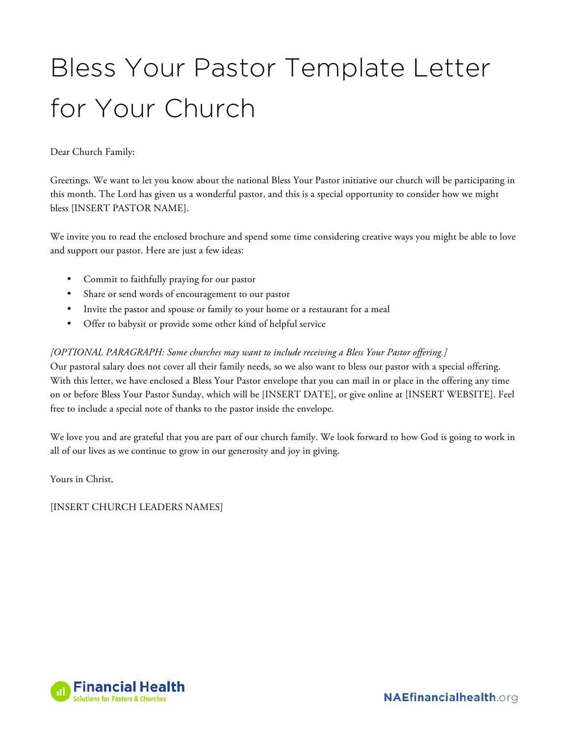## Bless Your Pastor Template Letter for Your Church

Dear Church Family:

Greetings. We want to let you know about the national Bless Your Pastor initiative our church will be participating in this month. The Lord has given us a wonderful pastor, and this is a special opportunity to consider how we might bless [INSERT PASTOR NAME].

We invite you to read the enclosed brochure and spend some time considering creative ways you might be able to love and support our pastor. Here are just a few ideas:

- Commit to faithfully praying for our pastor
- Share or send words of encouragement to our pastor
- Invite the pastor and spouse or family to your home or a restaurant for a meal
- Offer to babysit or provide some other kind of helpful service

## *[OPTIONAL PARAGRAPH: Some churches may want to include receiving a Bless Your Pastor offering.]*

Our pastoral salary does not cover all their family needs, so we also want to bless our pastor with a special offering. With this letter, we have enclosed a Bless Your Pastor envelope that you can mail in or place in the offering any time on or before Bless Your Pastor Sunday, which will be [INSERT DATE], or give online at [INSERT WEBSITE]. Feel free to include a special note of thanks to the pastor inside the envelope.

We love you and are grateful that you are part of our church family. We look forward to how God is going to work in all of our lives as we continue to grow in our generosity and joy in giving.

Yours in Christ,

[INSERT CHURCH LEADERS NAMES]